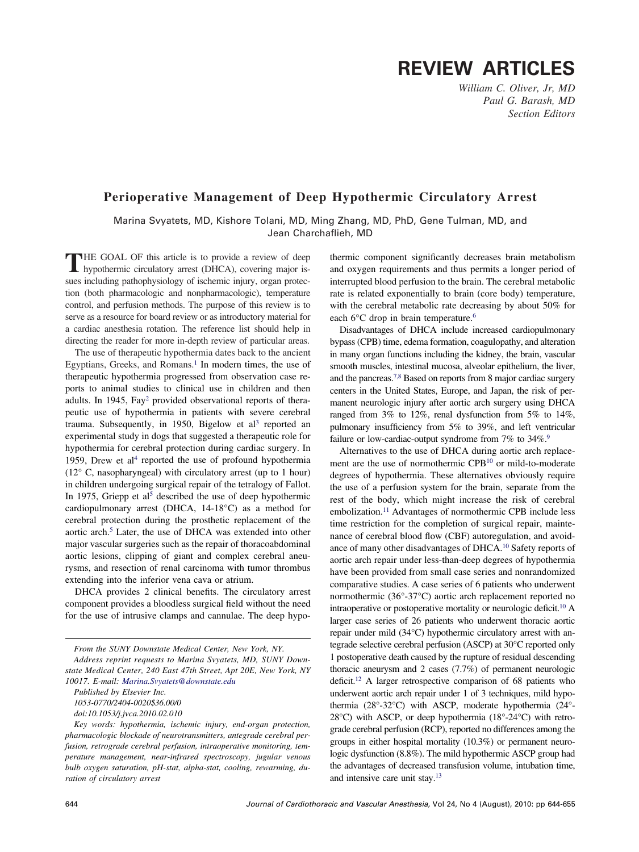# **REVIEW ARTICLES**

*William C. Oliver, Jr, MD Paul G. Barash, MD Section Editors*

# **Perioperative Management of Deep Hypothermic Circulatory Arrest**

Marina Svyatets, MD, Kishore Tolani, MD, Ming Zhang, MD, PhD, Gene Tulman, MD, and Jean Charchaflieh, MD

**T**HE GOAL OF this article is to provide a review of deep hypothermic circulatory arrest (DHCA), covering major issues including pathophysiology of ischemic injury, organ protection (both pharmacologic and nonpharmacologic), temperature control, and perfusion methods. The purpose of this review is to serve as a resource for board review or as introductory material for a cardiac anesthesia rotation. The reference list should help in directing the reader for more in-depth review of particular areas.

The use of therapeutic hypothermia dates back to the ancient Egyptians, Greeks, and Romans.<sup>1</sup> In modern times, the use of therapeutic hypothermia progressed from observation case reports to animal studies to clinical use in children and then adults. In 1945, Fay2 provided observational reports of therapeutic use of hypothermia in patients with severe cerebral trauma. Subsequently, in 1950, Bigelow et al<sup>3</sup> reported an experimental study in dogs that suggested a therapeutic role for hypothermia for cerebral protection during cardiac surgery. In 1959, Drew et al<sup>4</sup> reported the use of profound hypothermia  $(12^{\circ}$  C, nasopharyngeal) with circulatory arrest (up to 1 hour) in children undergoing surgical repair of the tetralogy of Fallot. In 1975, Griepp et  $al<sup>5</sup>$  described the use of deep hypothermic cardiopulmonary arrest (DHCA, 14-18°C) as a method for cerebral protection during the prosthetic replacement of the aortic arch.<sup>5</sup> Later, the use of DHCA was extended into other major vascular surgeries such as the repair of thoracoabdominal aortic lesions, clipping of giant and complex cerebral aneurysms, and resection of renal carcinoma with tumor thrombus extending into the inferior vena cava or atrium.

DHCA provides 2 clinical benefits. The circulatory arrest component provides a bloodless surgical field without the need for the use of intrusive clamps and cannulae. The deep hypo-

*state Medical Center, 240 East 47th Street, Apt 20E, New York, NY 10017. E-mail: [Marina.Svyatets@downstate.edu](mailto:Marina.Svyatets@downstate.edu)*

*Published by Elsevier Inc. 1053-0770/2404-0020\$36.00/0*

*doi:10.1053/j.jvca.2010.02.010*

thermic component significantly decreases brain metabolism and oxygen requirements and thus permits a longer period of interrupted blood perfusion to the brain. The cerebral metabolic rate is related exponentially to brain (core body) temperature, with the cerebral metabolic rate decreasing by about 50% for each 6°C drop in brain temperature.<sup>6</sup>

Disadvantages of DHCA include increased cardiopulmonary bypass (CPB) time, edema formation, coagulopathy, and alteration in many organ functions including the kidney, the brain, vascular smooth muscles, intestinal mucosa, alveolar epithelium, the liver, and the pancreas.7,8 Based on reports from 8 major cardiac surgery centers in the United States, Europe, and Japan, the risk of permanent neurologic injury after aortic arch surgery using DHCA ranged from 3% to 12%, renal dysfunction from 5% to 14%, pulmonary insufficiency from 5% to 39%, and left ventricular failure or low-cardiac-output syndrome from 7% to 34%.<sup>9</sup>

Alternatives to the use of DHCA during aortic arch replacement are the use of normothermic CPB10 or mild-to-moderate degrees of hypothermia. These alternatives obviously require the use of a perfusion system for the brain, separate from the rest of the body, which might increase the risk of cerebral embolization.11 Advantages of normothermic CPB include less time restriction for the completion of surgical repair, maintenance of cerebral blood flow (CBF) autoregulation, and avoidance of many other disadvantages of DHCA.10 Safety reports of aortic arch repair under less-than-deep degrees of hypothermia have been provided from small case series and nonrandomized comparative studies. A case series of 6 patients who underwent normothermic (36°-37°C) aortic arch replacement reported no intraoperative or postoperative mortality or neurologic deficit.10 A larger case series of 26 patients who underwent thoracic aortic repair under mild (34°C) hypothermic circulatory arrest with antegrade selective cerebral perfusion (ASCP) at 30°C reported only 1 postoperative death caused by the rupture of residual descending thoracic aneurysm and 2 cases (7.7%) of permanent neurologic deficit.12 A larger retrospective comparison of 68 patients who underwent aortic arch repair under 1 of 3 techniques, mild hypothermia (28°-32°C) with ASCP, moderate hypothermia (24°- 28°C) with ASCP, or deep hypothermia (18°-24°C) with retrograde cerebral perfusion (RCP), reported no differences among the groups in either hospital mortality (10.3%) or permanent neurologic dysfunction (8.8%). The mild hypothermic ASCP group had the advantages of decreased transfusion volume, intubation time, and intensive care unit stay.13

*From the SUNY Downstate Medical Center, New York, NY. Address reprint requests to Marina Svyatets, MD, SUNY Down-*

*Key words: hypothermia, ischemic injury, end-organ protection, pharmacologic blockade of neurotransmitters, antegrade cerebral perfusion, retrograde cerebral perfusion, intraoperative monitoring, temperature management, near-infrared spectroscopy, jugular venous bulb oxygen saturation, pH-stat, alpha-stat, cooling, rewarming, duration of circulatory arrest*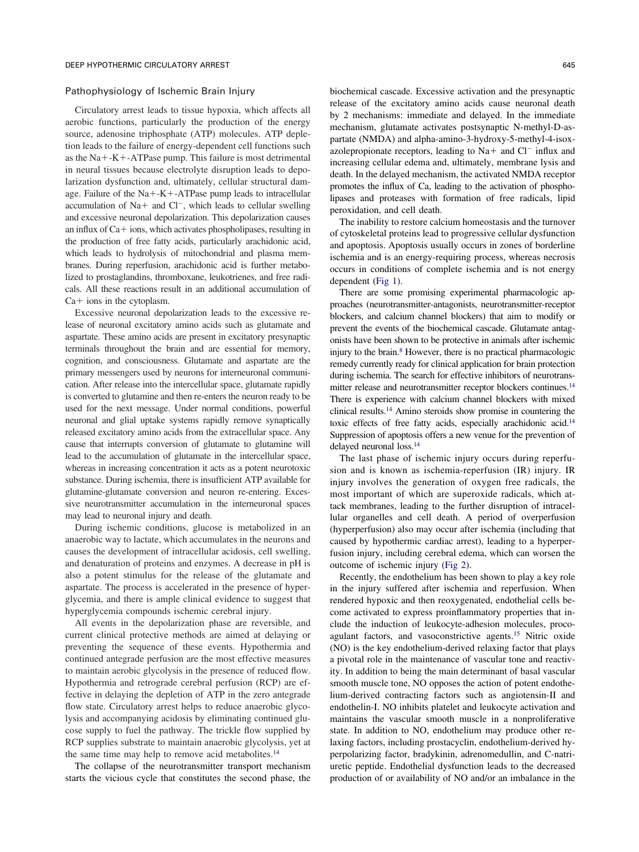#### Pathophysiology of Ischemic Brain Injury

Circulatory arrest leads to tissue hypoxia, which affects all aerobic functions, particularly the production of the energy source, adenosine triphosphate (ATP) molecules. ATP depletion leads to the failure of energy-dependent cell functions such as the  $Na + K + ATP$ ase pump. This failure is most detrimental in neural tissues because electrolyte disruption leads to depolarization dysfunction and, ultimately, cellular structural damage. Failure of the  $Na + -K + -ATP$ ase pump leads to intracellular accumulation of Na+ and Cl<sup>-</sup>, which leads to cellular swelling and excessive neuronal depolarization. This depolarization causes an influx of  $Ca + ions$ , which activates phospholipases, resulting in the production of free fatty acids, particularly arachidonic acid, which leads to hydrolysis of mitochondrial and plasma membranes. During reperfusion, arachidonic acid is further metabolized to prostaglandins, thromboxane, leukotrienes, and free radicals. All these reactions result in an additional accumulation of  $Ca + ions$  in the cytoplasm.

Excessive neuronal depolarization leads to the excessive release of neuronal excitatory amino acids such as glutamate and aspartate. These amino acids are present in excitatory presynaptic terminals throughout the brain and are essential for memory, cognition, and consciousness. Glutamate and aspartate are the primary messengers used by neurons for interneuronal communication. After release into the intercellular space, glutamate rapidly is converted to glutamine and then re-enters the neuron ready to be used for the next message. Under normal conditions, powerful neuronal and glial uptake systems rapidly remove synaptically released excitatory amino acids from the extracellular space. Any cause that interrupts conversion of glutamate to glutamine will lead to the accumulation of glutamate in the intercellular space, whereas in increasing concentration it acts as a potent neurotoxic substance. During ischemia, there is insufficient ATP available for glutamine-glutamate conversion and neuron re-entering. Excessive neurotransmitter accumulation in the interneuronal spaces may lead to neuronal injury and death.

During ischemic conditions, glucose is metabolized in an anaerobic way to lactate, which accumulates in the neurons and causes the development of intracellular acidosis, cell swelling, and denaturation of proteins and enzymes. A decrease in pH is also a potent stimulus for the release of the glutamate and aspartate. The process is accelerated in the presence of hyperglycemia, and there is ample clinical evidence to suggest that hyperglycemia compounds ischemic cerebral injury.

All events in the depolarization phase are reversible, and current clinical protective methods are aimed at delaying or preventing the sequence of these events. Hypothermia and continued antegrade perfusion are the most effective measures to maintain aerobic glycolysis in the presence of reduced flow. Hypothermia and retrograde cerebral perfusion (RCP) are effective in delaying the depletion of ATP in the zero antegrade flow state. Circulatory arrest helps to reduce anaerobic glycolysis and accompanying acidosis by eliminating continued glucose supply to fuel the pathway. The trickle flow supplied by RCP supplies substrate to maintain anaerobic glycolysis, yet at the same time may help to remove acid metabolites.14

The collapse of the neurotransmitter transport mechanism starts the vicious cycle that constitutes the second phase, the biochemical cascade. Excessive activation and the presynaptic release of the excitatory amino acids cause neuronal death by 2 mechanisms: immediate and delayed. In the immediate mechanism, glutamate activates postsynaptic N-methyl-D-aspartate (NMDA) and alpha-amino-3-hydroxy-5-methyl-4-isoxazolepropionate receptors, leading to  $Na+$  and  $Cl^-$  influx and increasing cellular edema and, ultimately, membrane lysis and death. In the delayed mechanism, the activated NMDA receptor promotes the influx of Ca, leading to the activation of phospholipases and proteases with formation of free radicals, lipid peroxidation, and cell death.

The inability to restore calcium homeostasis and the turnover of cytoskeletal proteins lead to progressive cellular dysfunction and apoptosis. Apoptosis usually occurs in zones of borderline ischemia and is an energy-requiring process, whereas necrosis occurs in conditions of complete ischemia and is not energy dependent (Fig 1).

There are some promising experimental pharmacologic approaches (neurotransmitter-antagonists, neurotransmitter-receptor blockers, and calcium channel blockers) that aim to modify or prevent the events of the biochemical cascade. Glutamate antagonists have been shown to be protective in animals after ischemic injury to the brain.8 However, there is no practical pharmacologic remedy currently ready for clinical application for brain protection during ischemia. The search for effective inhibitors of neurotransmitter release and neurotransmitter receptor blockers continues.14 There is experience with calcium channel blockers with mixed clinical results.14 Amino steroids show promise in countering the toxic effects of free fatty acids, especially arachidonic acid.14 Suppression of apoptosis offers a new venue for the prevention of delayed neuronal loss.<sup>14</sup>

The last phase of ischemic injury occurs during reperfusion and is known as ischemia-reperfusion (IR) injury. IR injury involves the generation of oxygen free radicals, the most important of which are superoxide radicals, which attack membranes, leading to the further disruption of intracellular organelles and cell death. A period of overperfusion (hyperperfusion) also may occur after ischemia (including that caused by hypothermic cardiac arrest), leading to a hyperperfusion injury, including cerebral edema, which can worsen the outcome of ischemic injury (Fig 2).

Recently, the endothelium has been shown to play a key role in the injury suffered after ischemia and reperfusion. When rendered hypoxic and then reoxygenated, endothelial cells become activated to express proinflammatory properties that include the induction of leukocyte-adhesion molecules, procoagulant factors, and vasoconstrictive agents.15 Nitric oxide (NO) is the key endothelium-derived relaxing factor that plays a pivotal role in the maintenance of vascular tone and reactivity. In addition to being the main determinant of basal vascular smooth muscle tone, NO opposes the action of potent endothelium-derived contracting factors such as angiotensin-II and endothelin-I. NO inhibits platelet and leukocyte activation and maintains the vascular smooth muscle in a nonproliferative state. In addition to NO, endothelium may produce other relaxing factors, including prostacyclin, endothelium-derived hyperpolarizing factor, bradykinin, adrenomedullin, and C-natriuretic peptide. Endothelial dysfunction leads to the decreased production of or availability of NO and/or an imbalance in the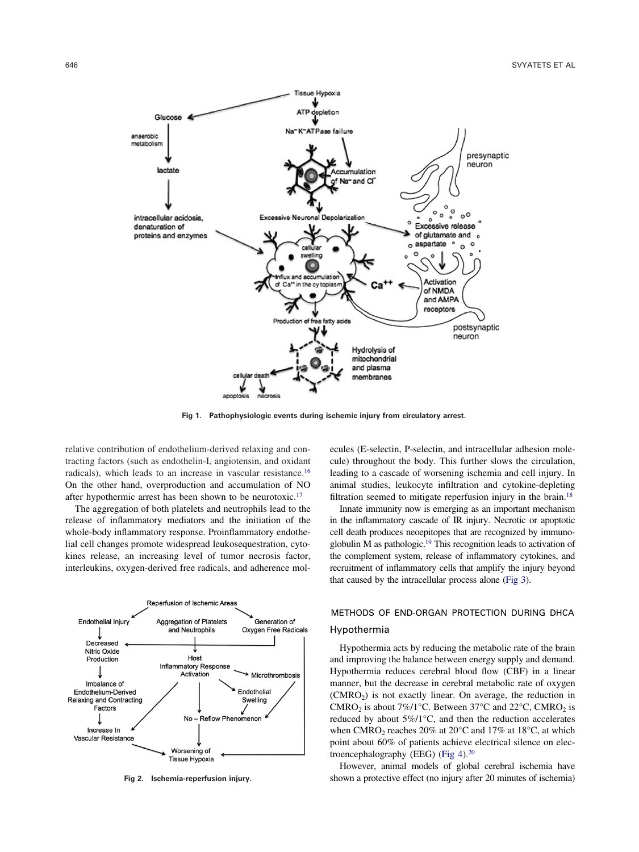

**Fig 1. Pathophysiologic events during ischemic injury from circulatory arrest.**

relative contribution of endothelium-derived relaxing and contracting factors (such as endothelin-I, angiotensin, and oxidant radicals), which leads to an increase in vascular resistance.16 On the other hand, overproduction and accumulation of NO after hypothermic arrest has been shown to be neurotoxic.17

The aggregation of both platelets and neutrophils lead to the release of inflammatory mediators and the initiation of the whole-body inflammatory response. Proinflammatory endothelial cell changes promote widespread leukosequestration, cytokines release, an increasing level of tumor necrosis factor, interleukins, oxygen-derived free radicals, and adherence mol-



**Fig 2. Ischemia-reperfusion injury.**

ecules (E-selectin, P-selectin, and intracellular adhesion molecule) throughout the body. This further slows the circulation, leading to a cascade of worsening ischemia and cell injury. In animal studies, leukocyte infiltration and cytokine-depleting filtration seemed to mitigate reperfusion injury in the brain.<sup>18</sup>

Innate immunity now is emerging as an important mechanism in the inflammatory cascade of IR injury. Necrotic or apoptotic cell death produces neoepitopes that are recognized by immunoglobulin M as pathologic.<sup>19</sup> This recognition leads to activation of the complement system, release of inflammatory cytokines, and recruitment of inflammatory cells that amplify the injury beyond that caused by the intracellular process alone (Fig 3).

#### METHODS OF END-ORGAN PROTECTION DURING DHCA

#### Hypothermia

Hypothermia acts by reducing the metabolic rate of the brain and improving the balance between energy supply and demand. Hypothermia reduces cerebral blood flow (CBF) in a linear manner, but the decrease in cerebral metabolic rate of oxygen  $(CMRO<sub>2</sub>)$  is not exactly linear. On average, the reduction in CMRO<sub>2</sub> is about 7%/1°C. Between 37°C and 22°C, CMRO<sub>2</sub> is reduced by about 5%/1°C, and then the reduction accelerates when CMRO<sub>2</sub> reaches 20% at 20°C and 17% at 18°C, at which point about 60% of patients achieve electrical silence on electroencephalography (EEG) (Fig  $4$ ).<sup>20</sup>

However, animal models of global cerebral ischemia have shown a protective effect (no injury after 20 minutes of ischemia)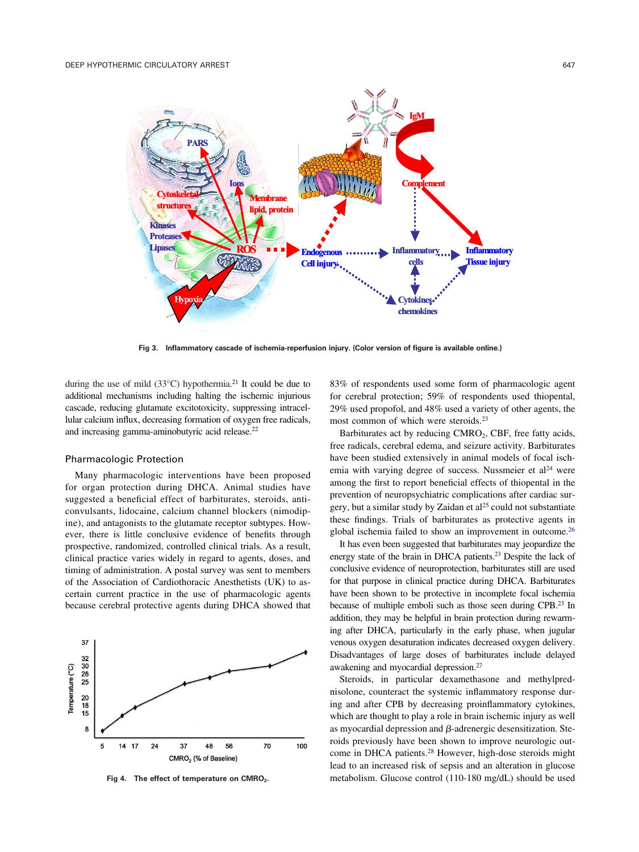

**Fig 3. Inflammatory cascade of ischemia-reperfusion injury. (Color version of figure is available online.)**

during the use of mild (33°C) hypothermia.21 It could be due to additional mechanisms including halting the ischemic injurious cascade, reducing glutamate excitotoxicity, suppressing intracellular calcium influx, decreasing formation of oxygen free radicals, and increasing gamma-aminobutyric acid release.<sup>22</sup>

#### Pharmacologic Protection

Many pharmacologic interventions have been proposed for organ protection during DHCA. Animal studies have suggested a beneficial effect of barbiturates, steroids, anticonvulsants, lidocaine, calcium channel blockers (nimodipine), and antagonists to the glutamate receptor subtypes. However, there is little conclusive evidence of benefits through prospective, randomized, controlled clinical trials. As a result, clinical practice varies widely in regard to agents, doses, and timing of administration. A postal survey was sent to members of the Association of Cardiothoracic Anesthetists (UK) to ascertain current practice in the use of pharmacologic agents because cerebral protective agents during DHCA showed that



Fig 4. The effect of temperature on CMRO<sub>2</sub>.

83% of respondents used some form of pharmacologic agent for cerebral protection; 59% of respondents used thiopental, 29% used propofol, and 48% used a variety of other agents, the most common of which were steroids.23

Barbiturates act by reducing  $CMRO<sub>2</sub>$ , CBF, free fatty acids, free radicals, cerebral edema, and seizure activity. Barbiturates have been studied extensively in animal models of focal ischemia with varying degree of success. Nussmeier et  $al<sup>24</sup>$  were among the first to report beneficial effects of thiopental in the prevention of neuropsychiatric complications after cardiac surgery, but a similar study by Zaidan et al<sup>25</sup> could not substantiate these findings. Trials of barbiturates as protective agents in global ischemia failed to show an improvement in outcome.26

It has even been suggested that barbiturates may jeopardize the energy state of the brain in DHCA patients.23 Despite the lack of conclusive evidence of neuroprotection, barbiturates still are used for that purpose in clinical practice during DHCA. Barbiturates have been shown to be protective in incomplete focal ischemia because of multiple emboli such as those seen during CPB.23 In addition, they may be helpful in brain protection during rewarming after DHCA, particularly in the early phase, when jugular venous oxygen desaturation indicates decreased oxygen delivery. Disadvantages of large doses of barbiturates include delayed awakening and myocardial depression.27

Steroids, in particular dexamethasone and methylprednisolone, counteract the systemic inflammatory response during and after CPB by decreasing proinflammatory cytokines, which are thought to play a role in brain ischemic injury as well as myocardial depression and  $\beta$ -adrenergic desensitization. Steroids previously have been shown to improve neurologic outcome in DHCA patients.28 However, high-dose steroids might lead to an increased risk of sepsis and an alteration in glucose metabolism. Glucose control (110-180 mg/dL) should be used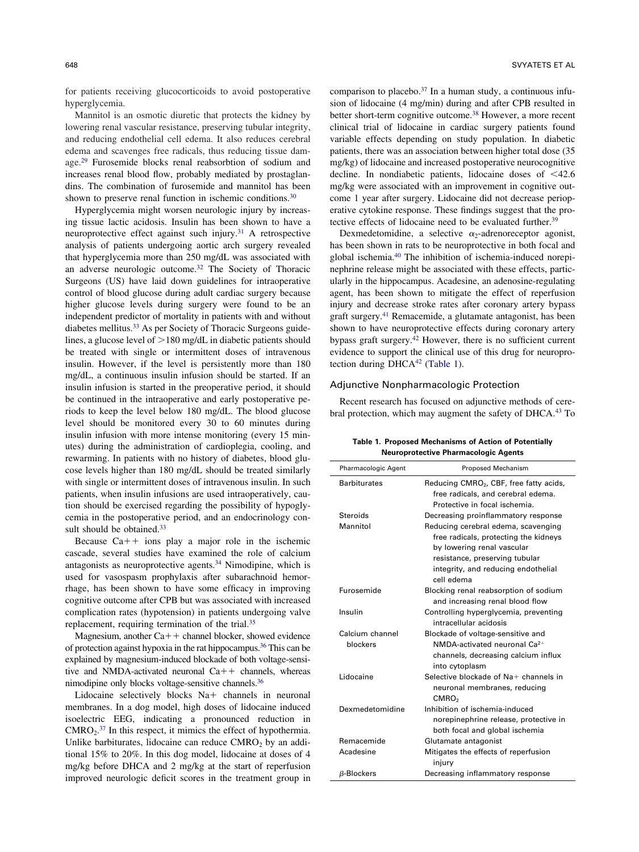for patients receiving glucocorticoids to avoid postoperative hyperglycemia.

Mannitol is an osmotic diuretic that protects the kidney by lowering renal vascular resistance, preserving tubular integrity, and reducing endothelial cell edema. It also reduces cerebral edema and scavenges free radicals, thus reducing tissue damage.29 Furosemide blocks renal reabsorbtion of sodium and increases renal blood flow, probably mediated by prostaglandins. The combination of furosemide and mannitol has been shown to preserve renal function in ischemic conditions.<sup>30</sup>

Hyperglycemia might worsen neurologic injury by increasing tissue lactic acidosis. Insulin has been shown to have a neuroprotective effect against such injury.31 A retrospective analysis of patients undergoing aortic arch surgery revealed that hyperglycemia more than 250 mg/dL was associated with an adverse neurologic outcome.32 The Society of Thoracic Surgeons (US) have laid down guidelines for intraoperative control of blood glucose during adult cardiac surgery because higher glucose levels during surgery were found to be an independent predictor of mortality in patients with and without diabetes mellitus.33 As per Society of Thoracic Surgeons guidelines, a glucose level of  $>180$  mg/dL in diabetic patients should be treated with single or intermittent doses of intravenous insulin. However, if the level is persistently more than 180 mg/dL, a continuous insulin infusion should be started. If an insulin infusion is started in the preoperative period, it should be continued in the intraoperative and early postoperative periods to keep the level below 180 mg/dL. The blood glucose level should be monitored every 30 to 60 minutes during insulin infusion with more intense monitoring (every 15 minutes) during the administration of cardioplegia, cooling, and rewarming. In patients with no history of diabetes, blood glucose levels higher than 180 mg/dL should be treated similarly with single or intermittent doses of intravenous insulin. In such patients, when insulin infusions are used intraoperatively, caution should be exercised regarding the possibility of hypoglycemia in the postoperative period, and an endocrinology consult should be obtained.<sup>33</sup>

Because  $Ca++$  ions play a major role in the ischemic cascade, several studies have examined the role of calcium antagonists as neuroprotective agents.34 Nimodipine, which is used for vasospasm prophylaxis after subarachnoid hemorrhage, has been shown to have some efficacy in improving cognitive outcome after CPB but was associated with increased complication rates (hypotension) in patients undergoing valve replacement, requiring termination of the trial.35

Magnesium, another  $Ca++$  channel blocker, showed evidence of protection against hypoxia in the rat hippocampus.36 This can be explained by magnesium-induced blockade of both voltage-sensitive and NMDA-activated neuronal  $Ca++$  channels, whereas nimodipine only blocks voltage-sensitive channels.36

Lidocaine selectively blocks  $Na+$  channels in neuronal membranes. In a dog model, high doses of lidocaine induced isoelectric EEG, indicating a pronounced reduction in  $CMRO<sub>2</sub><sup>37</sup>$  In this respect, it mimics the effect of hypothermia. Unlike barbiturates, lidocaine can reduce  $CMRO<sub>2</sub>$  by an additional 15% to 20%. In this dog model, lidocaine at doses of 4 mg/kg before DHCA and 2 mg/kg at the start of reperfusion improved neurologic deficit scores in the treatment group in comparison to placebo.37 In a human study, a continuous infusion of lidocaine (4 mg/min) during and after CPB resulted in better short-term cognitive outcome.<sup>38</sup> However, a more recent clinical trial of lidocaine in cardiac surgery patients found variable effects depending on study population. In diabetic patients, there was an association between higher total dose (35 mg/kg) of lidocaine and increased postoperative neurocognitive decline. In nondiabetic patients, lidocaine doses of  $\leq 42.6$ mg/kg were associated with an improvement in cognitive outcome 1 year after surgery. Lidocaine did not decrease perioperative cytokine response. These findings suggest that the protective effects of lidocaine need to be evaluated further.<sup>39</sup>

Dexmedetomidine, a selective  $\alpha_2$ -adrenoreceptor agonist, has been shown in rats to be neuroprotective in both focal and global ischemia.40 The inhibition of ischemia-induced norepinephrine release might be associated with these effects, particularly in the hippocampus. Acadesine, an adenosine-regulating agent, has been shown to mitigate the effect of reperfusion injury and decrease stroke rates after coronary artery bypass graft surgery.41 Remacemide, a glutamate antagonist, has been shown to have neuroprotective effects during coronary artery bypass graft surgery.42 However, there is no sufficient current evidence to support the clinical use of this drug for neuroprotection during DHCA $42$  (Table 1).

### Adjunctive Nonpharmacologic Protection

Recent research has focused on adjunctive methods of cerebral protection, which may augment the safety of DHCA.43 To

|  |  |  | Table 1. Proposed Mechanisms of Action of Potentially |  |  |
|--|--|--|-------------------------------------------------------|--|--|
|  |  |  | <b>Neuroprotective Pharmacologic Agents</b>           |  |  |

| Pharmacologic Agent | Proposed Mechanism                                                                                                         |  |  |  |
|---------------------|----------------------------------------------------------------------------------------------------------------------------|--|--|--|
| <b>Barbiturates</b> | Reducing CMRO <sub>2</sub> , CBF, free fatty acids,<br>free radicals, and cerebral edema.<br>Protective in focal ischemia. |  |  |  |
| Steroids            | Decreasing proinflammatory response                                                                                        |  |  |  |
| Mannitol            | Reducing cerebral edema, scavenging                                                                                        |  |  |  |
|                     | free radicals, protecting the kidneys                                                                                      |  |  |  |
|                     | by lowering renal vascular                                                                                                 |  |  |  |
|                     | resistance, preserving tubular                                                                                             |  |  |  |
|                     | integrity, and reducing endothelial                                                                                        |  |  |  |
|                     | cell edema                                                                                                                 |  |  |  |
| Furosemide          | Blocking renal reabsorption of sodium                                                                                      |  |  |  |
|                     | and increasing renal blood flow                                                                                            |  |  |  |
| Insulin             | Controlling hyperglycemia, preventing<br>intracellular acidosis                                                            |  |  |  |
| Calcium channel     | Blockade of voltage-sensitive and                                                                                          |  |  |  |
| <b>blockers</b>     | NMDA-activated neuronal Ca <sup>2+</sup>                                                                                   |  |  |  |
|                     | channels, decreasing calcium influx                                                                                        |  |  |  |
|                     | into cytoplasm                                                                                                             |  |  |  |
| Lidocaine           | Selective blockade of Na+ channels in                                                                                      |  |  |  |
|                     | neuronal membranes, reducing<br>CMRO <sub>2</sub>                                                                          |  |  |  |
| Dexmedetomidine     | Inhibition of ischemia-induced                                                                                             |  |  |  |
|                     | norepinephrine release, protective in                                                                                      |  |  |  |
|                     | both focal and global ischemia                                                                                             |  |  |  |
| Remacemide          | Glutamate antagonist                                                                                                       |  |  |  |
| Acadesine           | Mitigates the effects of reperfusion                                                                                       |  |  |  |
|                     | injury                                                                                                                     |  |  |  |
| <b>B-Blockers</b>   | Decreasing inflammatory response                                                                                           |  |  |  |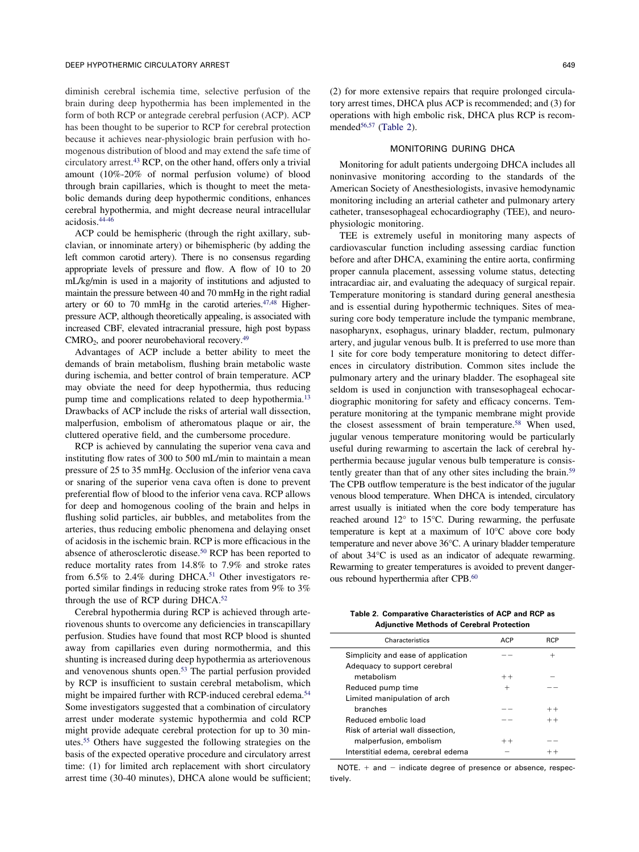diminish cerebral ischemia time, selective perfusion of the brain during deep hypothermia has been implemented in the form of both RCP or antegrade cerebral perfusion (ACP). ACP has been thought to be superior to RCP for cerebral protection because it achieves near-physiologic brain perfusion with homogenous distribution of blood and may extend the safe time of circulatory arrest.43 RCP, on the other hand, offers only a trivial amount (10%-20% of normal perfusion volume) of blood through brain capillaries, which is thought to meet the metabolic demands during deep hypothermic conditions, enhances cerebral hypothermia, and might decrease neural intracellular acidosis.44-46

ACP could be hemispheric (through the right axillary, subclavian, or innominate artery) or bihemispheric (by adding the left common carotid artery). There is no consensus regarding appropriate levels of pressure and flow. A flow of 10 to 20 mL/kg/min is used in a majority of institutions and adjusted to maintain the pressure between 40 and 70 mmHg in the right radial artery or 60 to 70 mmHg in the carotid arteries. $47,48$  Higherpressure ACP, although theoretically appealing, is associated with increased CBF, elevated intracranial pressure, high post bypass CMRO<sub>2</sub>, and poorer neurobehavioral recovery.<sup>49</sup>

Advantages of ACP include a better ability to meet the demands of brain metabolism, flushing brain metabolic waste during ischemia, and better control of brain temperature. ACP may obviate the need for deep hypothermia, thus reducing pump time and complications related to deep hypothermia.<sup>13</sup> Drawbacks of ACP include the risks of arterial wall dissection, malperfusion, embolism of atheromatous plaque or air, the cluttered operative field, and the cumbersome procedure.

RCP is achieved by cannulating the superior vena cava and instituting flow rates of 300 to 500 mL/min to maintain a mean pressure of 25 to 35 mmHg. Occlusion of the inferior vena cava or snaring of the superior vena cava often is done to prevent preferential flow of blood to the inferior vena cava. RCP allows for deep and homogenous cooling of the brain and helps in flushing solid particles, air bubbles, and metabolites from the arteries, thus reducing embolic phenomena and delaying onset of acidosis in the ischemic brain. RCP is more efficacious in the absence of atherosclerotic disease.50 RCP has been reported to reduce mortality rates from 14.8% to 7.9% and stroke rates from  $6.5\%$  to  $2.4\%$  during DHCA.<sup>51</sup> Other investigators reported similar findings in reducing stroke rates from 9% to 3% through the use of RCP during DHCA.52

Cerebral hypothermia during RCP is achieved through arteriovenous shunts to overcome any deficiencies in transcapillary perfusion. Studies have found that most RCP blood is shunted away from capillaries even during normothermia, and this shunting is increased during deep hypothermia as arteriovenous and venovenous shunts open.53 The partial perfusion provided by RCP is insufficient to sustain cerebral metabolism, which might be impaired further with RCP-induced cerebral edema.<sup>54</sup> Some investigators suggested that a combination of circulatory arrest under moderate systemic hypothermia and cold RCP might provide adequate cerebral protection for up to 30 minutes.55 Others have suggested the following strategies on the basis of the expected operative procedure and circulatory arrest time: (1) for limited arch replacement with short circulatory arrest time (30-40 minutes), DHCA alone would be sufficient; (2) for more extensive repairs that require prolonged circulatory arrest times, DHCA plus ACP is recommended; and (3) for operations with high embolic risk, DHCA plus RCP is recommended<sup>56,57</sup> (Table 2).

#### MONITORING DURING DHCA

Monitoring for adult patients undergoing DHCA includes all noninvasive monitoring according to the standards of the American Society of Anesthesiologists, invasive hemodynamic monitoring including an arterial catheter and pulmonary artery catheter, transesophageal echocardiography (TEE), and neurophysiologic monitoring.

TEE is extremely useful in monitoring many aspects of cardiovascular function including assessing cardiac function before and after DHCA, examining the entire aorta, confirming proper cannula placement, assessing volume status, detecting intracardiac air, and evaluating the adequacy of surgical repair. Temperature monitoring is standard during general anesthesia and is essential during hypothermic techniques. Sites of measuring core body temperature include the tympanic membrane, nasopharynx, esophagus, urinary bladder, rectum, pulmonary artery, and jugular venous bulb. It is preferred to use more than 1 site for core body temperature monitoring to detect differences in circulatory distribution. Common sites include the pulmonary artery and the urinary bladder. The esophageal site seldom is used in conjunction with transesophageal echocardiographic monitoring for safety and efficacy concerns. Temperature monitoring at the tympanic membrane might provide the closest assessment of brain temperature.<sup>58</sup> When used, jugular venous temperature monitoring would be particularly useful during rewarming to ascertain the lack of cerebral hyperthermia because jugular venous bulb temperature is consistently greater than that of any other sites including the brain.59 The CPB outflow temperature is the best indicator of the jugular venous blood temperature. When DHCA is intended, circulatory arrest usually is initiated when the core body temperature has reached around 12° to 15°C. During rewarming, the perfusate temperature is kept at a maximum of 10°C above core body temperature and never above 36°C. A urinary bladder temperature of about 34°C is used as an indicator of adequate rewarming. Rewarming to greater temperatures is avoided to prevent dangerous rebound hyperthermia after CPB.60

**Table 2. Comparative Characteristics of ACP and RCP as Adjunctive Methods of Cerebral Protection**

| Characteristics                    | ACP    | RCP   |
|------------------------------------|--------|-------|
| Simplicity and ease of application |        | +     |
| Adequacy to support cerebral       |        |       |
| metabolism                         | $+ +$  |       |
| Reduced pump time                  | $^{+}$ |       |
| Limited manipulation of arch       |        |       |
| branches                           |        | $+ +$ |
| Reduced embolic load               |        | $++$  |
| Risk of arterial wall dissection,  |        |       |
| malperfusion, embolism             | $++$   |       |
| Interstitial edema, cerebral edema |        |       |

NOTE.  $+$  and  $-$  indicate degree of presence or absence, respectively.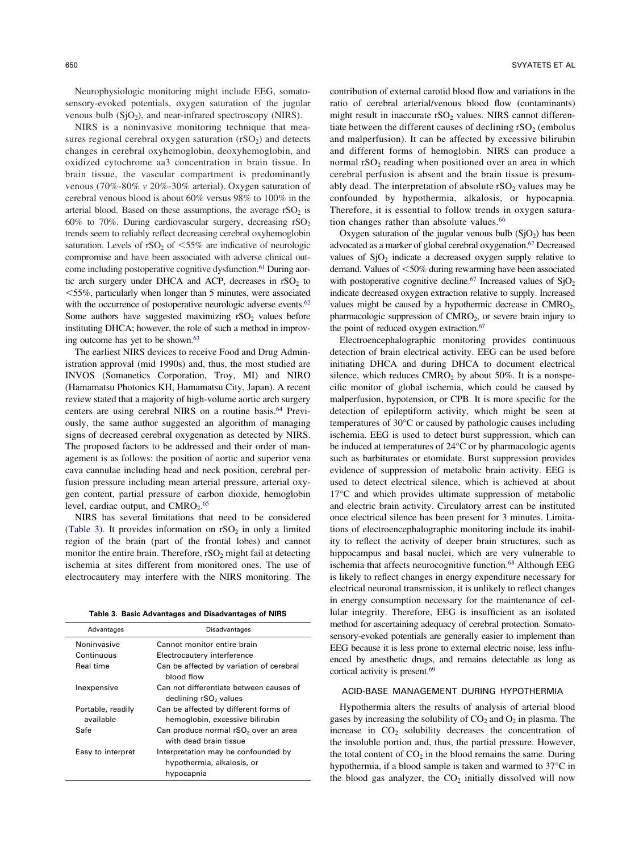Neurophysiologic monitoring might include EEG, somatosensory-evoked potentials, oxygen saturation of the jugular venous bulb  $(SjO<sub>2</sub>)$ , and near-infrared spectroscopy (NIRS).

NIRS is a noninvasive monitoring technique that measures regional cerebral oxygen saturation  $(rSO<sub>2</sub>)$  and detects changes in cerebral oxyhemoglobin, deoxyhemoglobin, and oxidized cytochrome aa3 concentration in brain tissue. In brain tissue, the vascular compartment is predominantly venous (70%-80% *v* 20%-30% arterial). Oxygen saturation of cerebral venous blood is about 60% versus 98% to 100% in the arterial blood. Based on these assumptions, the average  $rSO<sub>2</sub>$  is 60% to 70%. During cardiovascular surgery, decreasing  $rSO<sub>2</sub>$ trends seem to reliably reflect decreasing cerebral oxyhemoglobin saturation. Levels of  $rSO<sub>2</sub>$  of  $\leq 55\%$  are indicative of neurologic compromise and have been associated with adverse clinical outcome including postoperative cognitive dysfunction.<sup>61</sup> During aortic arch surgery under DHCA and ACP, decreases in  $rSO<sub>2</sub>$  to 55%, particularly when longer than 5 minutes, were associated with the occurrence of postoperative neurologic adverse events.<sup>62</sup> Some authors have suggested maximizing  $rSO<sub>2</sub>$  values before instituting DHCA; however, the role of such a method in improving outcome has yet to be shown.<sup>63</sup>

The earliest NIRS devices to receive Food and Drug Administration approval (mid 1990s) and, thus, the most studied are INVOS (Somanetics Corporation, Troy, MI) and NIRO (Hamamatsu Photonics KH, Hamamatsu City, Japan). A recent review stated that a majority of high-volume aortic arch surgery centers are using cerebral NIRS on a routine basis.64 Previously, the same author suggested an algorithm of managing signs of decreased cerebral oxygenation as detected by NIRS. The proposed factors to be addressed and their order of management is as follows: the position of aortic and superior vena cava cannulae including head and neck position, cerebral perfusion pressure including mean arterial pressure, arterial oxygen content, partial pressure of carbon dioxide, hemoglobin level, cardiac output, and  $CMRO<sub>2</sub>$ .<sup>65</sup>

NIRS has several limitations that need to be considered (Table 3). It provides information on  $rSO<sub>2</sub>$  in only a limited region of the brain (part of the frontal lobes) and cannot monitor the entire brain. Therefore,  $rSO<sub>2</sub>$  might fail at detecting ischemia at sites different from monitored ones. The use of electrocautery may interfere with the NIRS monitoring. The

**Table 3. Basic Advantages and Disadvantages of NIRS**

| Advantages                     | Disadvantages                                                                   |  |  |  |  |
|--------------------------------|---------------------------------------------------------------------------------|--|--|--|--|
| Noninvasive                    | Cannot monitor entire brain                                                     |  |  |  |  |
| Continuous                     | Electrocautery interference                                                     |  |  |  |  |
| Real time                      | Can be affected by variation of cerebral<br>blood flow                          |  |  |  |  |
| Inexpensive                    | Can not differentiate between causes of<br>declining rSO <sub>2</sub> values    |  |  |  |  |
| Portable, readily<br>available | Can be affected by different forms of<br>hemoglobin, excessive bilirubin        |  |  |  |  |
| Safe                           | Can produce normal rSO <sub>2</sub> over an area<br>with dead brain tissue      |  |  |  |  |
| Easy to interpret              | Interpretation may be confounded by<br>hypothermia, alkalosis, or<br>hypocapnia |  |  |  |  |

contribution of external carotid blood flow and variations in the ratio of cerebral arterial/venous blood flow (contaminants) might result in inaccurate  $rSO<sub>2</sub>$  values. NIRS cannot differentiate between the different causes of declining  $rSO<sub>2</sub>$  (embolus and malperfusion). It can be affected by excessive bilirubin and different forms of hemoglobin. NIRS can produce a normal  $rSO<sub>2</sub>$  reading when positioned over an area in which cerebral perfusion is absent and the brain tissue is presumably dead. The interpretation of absolute  $rSO<sub>2</sub>$  values may be confounded by hypothermia, alkalosis, or hypocapnia. Therefore, it is essential to follow trends in oxygen saturation changes rather than absolute values.<sup>66</sup>

Oxygen saturation of the jugular venous bulb  $(S_1O_2)$  has been advocated as a marker of global cerebral oxygenation.67 Decreased values of  $SjO<sub>2</sub>$  indicate a decreased oxygen supply relative to demand. Values of <50% during rewarming have been associated with postoperative cognitive decline.<sup>67</sup> Increased values of  $SiO<sub>2</sub>$ indicate decreased oxygen extraction relative to supply. Increased values might be caused by a hypothermic decrease in  $CMRO<sub>2</sub>$ , pharmacologic suppression of CMRO<sub>2</sub>, or severe brain injury to the point of reduced oxygen extraction.<sup>67</sup>

Electroencephalographic monitoring provides continuous detection of brain electrical activity. EEG can be used before initiating DHCA and during DHCA to document electrical silence, which reduces  $CMRO<sub>2</sub>$  by about 50%. It is a nonspecific monitor of global ischemia, which could be caused by malperfusion, hypotension, or CPB. It is more specific for the detection of epileptiform activity, which might be seen at temperatures of 30°C or caused by pathologic causes including ischemia. EEG is used to detect burst suppression, which can be induced at temperatures of 24°C or by pharmacologic agents such as barbiturates or etomidate. Burst suppression provides evidence of suppression of metabolic brain activity. EEG is used to detect electrical silence, which is achieved at about 17°C and which provides ultimate suppression of metabolic and electric brain activity. Circulatory arrest can be instituted once electrical silence has been present for 3 minutes. Limitations of electroencephalographic monitoring include its inability to reflect the activity of deeper brain structures, such as hippocampus and basal nuclei, which are very vulnerable to ischemia that affects neurocognitive function.<sup>68</sup> Although EEG is likely to reflect changes in energy expenditure necessary for electrical neuronal transmission, it is unlikely to reflect changes in energy consumption necessary for the maintenance of cellular integrity. Therefore, EEG is insufficient as an isolated method for ascertaining adequacy of cerebral protection. Somatosensory-evoked potentials are generally easier to implement than EEG because it is less prone to external electric noise, less influenced by anesthetic drugs, and remains detectable as long as cortical activity is present.69

#### ACID-BASE MANAGEMENT DURING HYPOTHERMIA

Hypothermia alters the results of analysis of arterial blood gases by increasing the solubility of  $CO<sub>2</sub>$  and  $O<sub>2</sub>$  in plasma. The increase in  $CO<sub>2</sub>$  solubility decreases the concentration of the insoluble portion and, thus, the partial pressure. However, the total content of  $CO<sub>2</sub>$  in the blood remains the same. During hypothermia, if a blood sample is taken and warmed to 37°C in the blood gas analyzer, the  $CO<sub>2</sub>$  initially dissolved will now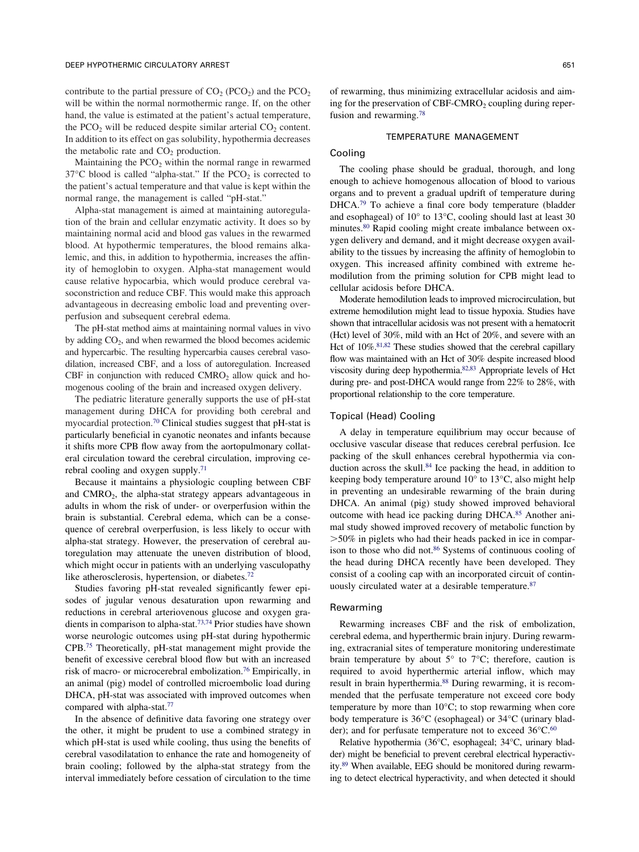contribute to the partial pressure of  $CO<sub>2</sub> (PCO<sub>2</sub>)$  and the  $PCO<sub>2</sub>$ will be within the normal normothermic range. If, on the other hand, the value is estimated at the patient's actual temperature, the  $PCO<sub>2</sub>$  will be reduced despite similar arterial  $CO<sub>2</sub>$  content. In addition to its effect on gas solubility, hypothermia decreases the metabolic rate and  $CO<sub>2</sub>$  production.

Maintaining the  $PCO<sub>2</sub>$  within the normal range in rewarmed  $37^{\circ}$ C blood is called "alpha-stat." If the PCO<sub>2</sub> is corrected to the patient's actual temperature and that value is kept within the normal range, the management is called "pH-stat."

Alpha-stat management is aimed at maintaining autoregulation of the brain and cellular enzymatic activity. It does so by maintaining normal acid and blood gas values in the rewarmed blood. At hypothermic temperatures, the blood remains alkalemic, and this, in addition to hypothermia, increases the affinity of hemoglobin to oxygen. Alpha-stat management would cause relative hypocarbia, which would produce cerebral vasoconstriction and reduce CBF. This would make this approach advantageous in decreasing embolic load and preventing overperfusion and subsequent cerebral edema.

The pH-stat method aims at maintaining normal values in vivo by adding  $CO<sub>2</sub>$ , and when rewarmed the blood becomes acidemic and hypercarbic. The resulting hypercarbia causes cerebral vasodilation, increased CBF, and a loss of autoregulation. Increased CBF in conjunction with reduced  $CMRO<sub>2</sub>$  allow quick and homogenous cooling of the brain and increased oxygen delivery.

The pediatric literature generally supports the use of pH-stat management during DHCA for providing both cerebral and myocardial protection.70 Clinical studies suggest that pH-stat is particularly beneficial in cyanotic neonates and infants because it shifts more CPB flow away from the aortopulmonary collateral circulation toward the cerebral circulation, improving cerebral cooling and oxygen supply.71

Because it maintains a physiologic coupling between CBF and  $CMRO<sub>2</sub>$ , the alpha-stat strategy appears advantageous in adults in whom the risk of under- or overperfusion within the brain is substantial. Cerebral edema, which can be a consequence of cerebral overperfusion, is less likely to occur with alpha-stat strategy. However, the preservation of cerebral autoregulation may attenuate the uneven distribution of blood, which might occur in patients with an underlying vasculopathy like atherosclerosis, hypertension, or diabetes.<sup>72</sup>

Studies favoring pH-stat revealed significantly fewer episodes of jugular venous desaturation upon rewarming and reductions in cerebral arteriovenous glucose and oxygen gradients in comparison to alpha-stat.73,74 Prior studies have shown worse neurologic outcomes using pH-stat during hypothermic CPB.75 Theoretically, pH-stat management might provide the benefit of excessive cerebral blood flow but with an increased risk of macro- or microcerebral embolization.76 Empirically, in an animal (pig) model of controlled microembolic load during DHCA, pH-stat was associated with improved outcomes when compared with alpha-stat.77

In the absence of definitive data favoring one strategy over the other, it might be prudent to use a combined strategy in which pH-stat is used while cooling, thus using the benefits of cerebral vasodilatation to enhance the rate and homogeneity of brain cooling; followed by the alpha-stat strategy from the interval immediately before cessation of circulation to the time

of rewarming, thus minimizing extracellular acidosis and aiming for the preservation of CBF-CMRO<sub>2</sub> coupling during reperfusion and rewarming.78

# TEMPERATURE MANAGEMENT

#### Cooling

The cooling phase should be gradual, thorough, and long enough to achieve homogenous allocation of blood to various organs and to prevent a gradual updrift of temperature during DHCA.<sup>79</sup> To achieve a final core body temperature (bladder and esophageal) of 10° to 13°C, cooling should last at least 30 minutes.<sup>80</sup> Rapid cooling might create imbalance between oxygen delivery and demand, and it might decrease oxygen availability to the tissues by increasing the affinity of hemoglobin to oxygen. This increased affinity combined with extreme hemodilution from the priming solution for CPB might lead to cellular acidosis before DHCA.

Moderate hemodilution leads to improved microcirculation, but extreme hemodilution might lead to tissue hypoxia. Studies have shown that intracellular acidosis was not present with a hematocrit (Hct) level of 30%, mild with an Hct of 20%, and severe with an Hct of  $10\%$ .<sup>81,82</sup> These studies showed that the cerebral capillary flow was maintained with an Hct of 30% despite increased blood viscosity during deep hypothermia.82,83 Appropriate levels of Hct during pre- and post-DHCA would range from 22% to 28%, with proportional relationship to the core temperature.

### Topical (Head) Cooling

A delay in temperature equilibrium may occur because of occlusive vascular disease that reduces cerebral perfusion. Ice packing of the skull enhances cerebral hypothermia via conduction across the skull.<sup>84</sup> Ice packing the head, in addition to keeping body temperature around 10° to 13°C, also might help in preventing an undesirable rewarming of the brain during DHCA. An animal (pig) study showed improved behavioral outcome with head ice packing during DHCA.<sup>85</sup> Another animal study showed improved recovery of metabolic function by 50% in piglets who had their heads packed in ice in comparison to those who did not.<sup>86</sup> Systems of continuous cooling of the head during DHCA recently have been developed. They consist of a cooling cap with an incorporated circuit of continuously circulated water at a desirable temperature.<sup>87</sup>

#### Rewarming

Rewarming increases CBF and the risk of embolization, cerebral edema, and hyperthermic brain injury. During rewarming, extracranial sites of temperature monitoring underestimate brain temperature by about  $5^{\circ}$  to  $7^{\circ}C$ ; therefore, caution is required to avoid hyperthermic arterial inflow, which may result in brain hyperthermia.<sup>88</sup> During rewarming, it is recommended that the perfusate temperature not exceed core body temperature by more than 10°C; to stop rewarming when core body temperature is 36°C (esophageal) or 34°C (urinary bladder); and for perfusate temperature not to exceed 36°C.<sup>60</sup>

Relative hypothermia (36°C, esophageal; 34°C, urinary bladder) might be beneficial to prevent cerebral electrical hyperactivity.89 When available, EEG should be monitored during rewarming to detect electrical hyperactivity, and when detected it should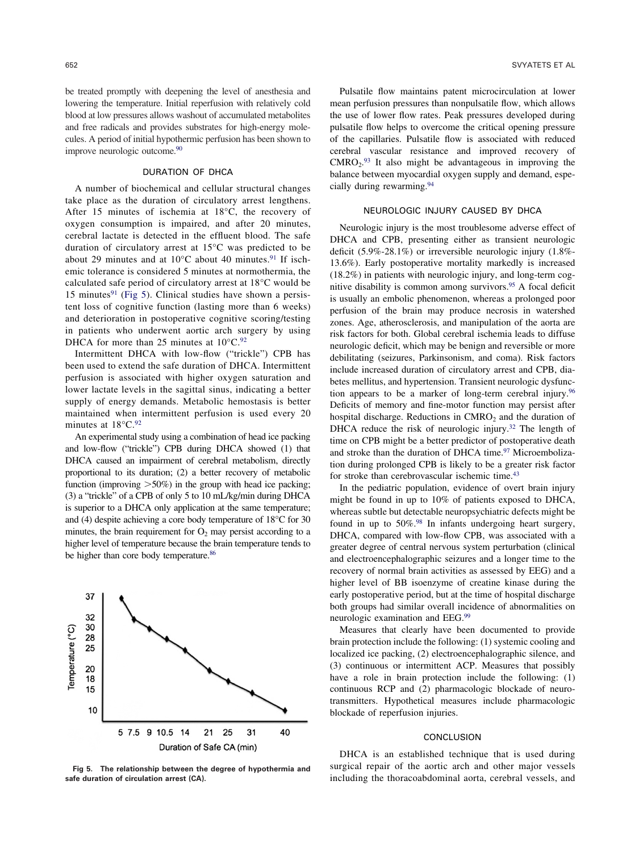be treated promptly with deepening the level of anesthesia and lowering the temperature. Initial reperfusion with relatively cold blood at low pressures allows washout of accumulated metabolites and free radicals and provides substrates for high-energy molecules. A period of initial hypothermic perfusion has been shown to improve neurologic outcome.<sup>90</sup>

# DURATION OF DHCA

A number of biochemical and cellular structural changes take place as the duration of circulatory arrest lengthens. After 15 minutes of ischemia at 18°C, the recovery of oxygen consumption is impaired, and after 20 minutes, cerebral lactate is detected in the effluent blood. The safe duration of circulatory arrest at 15°C was predicted to be about 29 minutes and at  $10^{\circ}$ C about 40 minutes.<sup>91</sup> If ischemic tolerance is considered 5 minutes at normothermia, the calculated safe period of circulatory arrest at 18°C would be 15 minutes<sup>91</sup> (Fig 5). Clinical studies have shown a persistent loss of cognitive function (lasting more than 6 weeks) and deterioration in postoperative cognitive scoring/testing in patients who underwent aortic arch surgery by using DHCA for more than 25 minutes at  $10^{\circ}$ C.<sup>92</sup>

Intermittent DHCA with low-flow ("trickle") CPB has been used to extend the safe duration of DHCA. Intermittent perfusion is associated with higher oxygen saturation and lower lactate levels in the sagittal sinus, indicating a better supply of energy demands. Metabolic hemostasis is better maintained when intermittent perfusion is used every 20 minutes at  $18^{\circ}$ C.<sup>92</sup>

An experimental study using a combination of head ice packing and low-flow ("trickle") CPB during DHCA showed (1) that DHCA caused an impairment of cerebral metabolism, directly proportional to its duration; (2) a better recovery of metabolic function (improving  $>50\%$ ) in the group with head ice packing; (3) a "trickle" of a CPB of only 5 to 10 mL/kg/min during DHCA is superior to a DHCA only application at the same temperature; and (4) despite achieving a core body temperature of 18°C for 30 minutes, the brain requirement for  $O_2$  may persist according to a higher level of temperature because the brain temperature tends to be higher than core body temperature.<sup>86</sup>



Pulsatile flow maintains patent microcirculation at lower mean perfusion pressures than nonpulsatile flow, which allows the use of lower flow rates. Peak pressures developed during pulsatile flow helps to overcome the critical opening pressure of the capillaries. Pulsatile flow is associated with reduced cerebral vascular resistance and improved recovery of  $CMRO<sub>2</sub>$ .<sup>93</sup> It also might be advantageous in improving the balance between myocardial oxygen supply and demand, espe-

#### NEUROLOGIC INJURY CAUSED BY DHCA

cially during rewarming.94

Neurologic injury is the most troublesome adverse effect of DHCA and CPB, presenting either as transient neurologic deficit (5.9%-28.1%) or irreversible neurologic injury (1.8%- 13.6%). Early postoperative mortality markedly is increased (18.2%) in patients with neurologic injury, and long-term cognitive disability is common among survivors.<sup>95</sup> A focal deficit is usually an embolic phenomenon, whereas a prolonged poor perfusion of the brain may produce necrosis in watershed zones. Age, atherosclerosis, and manipulation of the aorta are risk factors for both. Global cerebral ischemia leads to diffuse neurologic deficit, which may be benign and reversible or more debilitating (seizures, Parkinsonism, and coma). Risk factors include increased duration of circulatory arrest and CPB, diabetes mellitus, and hypertension. Transient neurologic dysfunction appears to be a marker of long-term cerebral injury.96 Deficits of memory and fine-motor function may persist after hospital discharge. Reductions in  $CMRO<sub>2</sub>$  and the duration of DHCA reduce the risk of neurologic injury.<sup>32</sup> The length of time on CPB might be a better predictor of postoperative death and stroke than the duration of DHCA time.<sup>97</sup> Microembolization during prolonged CPB is likely to be a greater risk factor for stroke than cerebrovascular ischemic time.43

In the pediatric population, evidence of overt brain injury might be found in up to 10% of patients exposed to DHCA, whereas subtle but detectable neuropsychiatric defects might be found in up to 50%.<sup>98</sup> In infants undergoing heart surgery, DHCA, compared with low-flow CPB, was associated with a greater degree of central nervous system perturbation (clinical and electroencephalographic seizures and a longer time to the recovery of normal brain activities as assessed by EEG) and a higher level of BB isoenzyme of creatine kinase during the early postoperative period, but at the time of hospital discharge both groups had similar overall incidence of abnormalities on neurologic examination and EEG.99

Measures that clearly have been documented to provide brain protection include the following: (1) systemic cooling and localized ice packing, (2) electroencephalographic silence, and (3) continuous or intermittent ACP. Measures that possibly have a role in brain protection include the following: (1) continuous RCP and (2) pharmacologic blockade of neurotransmitters. Hypothetical measures include pharmacologic blockade of reperfusion injuries.

# CONCLUSION

DHCA is an established technique that is used during surgical repair of the aortic arch and other major vessels including the thoracoabdominal aorta, cerebral vessels, and

**Fig 5. The relationship between the degree of hypothermia and safe duration of circulation arrest (CA).**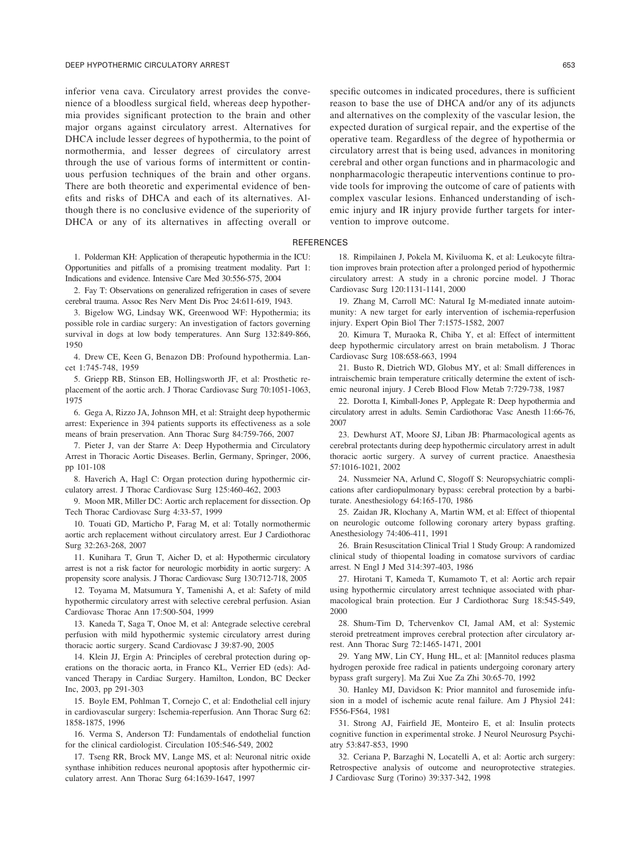inferior vena cava. Circulatory arrest provides the convenience of a bloodless surgical field, whereas deep hypothermia provides significant protection to the brain and other major organs against circulatory arrest. Alternatives for DHCA include lesser degrees of hypothermia, to the point of normothermia, and lesser degrees of circulatory arrest through the use of various forms of intermittent or continuous perfusion techniques of the brain and other organs. There are both theoretic and experimental evidence of benefits and risks of DHCA and each of its alternatives. Although there is no conclusive evidence of the superiority of DHCA or any of its alternatives in affecting overall or

1. Polderman KH: Application of therapeutic hypothermia in the ICU: Opportunities and pitfalls of a promising treatment modality. Part 1: Indications and evidence. Intensive Care Med 30:556-575, 2004

2. Fay T: Observations on generalized refrigeration in cases of severe cerebral trauma. Assoc Res Nerv Ment Dis Proc 24:611-619, 1943.

3. Bigelow WG, Lindsay WK, Greenwood WF: Hypothermia; its possible role in cardiac surgery: An investigation of factors governing survival in dogs at low body temperatures. Ann Surg 132:849-866, 1950

4. Drew CE, Keen G, Benazon DB: Profound hypothermia. Lancet 1:745-748, 1959

5. Griepp RB, Stinson EB, Hollingsworth JF, et al: Prosthetic replacement of the aortic arch. J Thorac Cardiovasc Surg 70:1051-1063, 1975

6. Gega A, Rizzo JA, Johnson MH, et al: Straight deep hypothermic arrest: Experience in 394 patients supports its effectiveness as a sole means of brain preservation. Ann Thorac Surg 84:759-766, 2007

7. Pieter J, van der Starre A: Deep Hypothermia and Circulatory Arrest in Thoracic Aortic Diseases. Berlin, Germany, Springer, 2006, pp 101-108

8. Haverich A, Hagl C: Organ protection during hypothermic circulatory arrest. J Thorac Cardiovasc Surg 125:460-462, 2003

9. Moon MR, Miller DC: Aortic arch replacement for dissection. Op Tech Thorac Cardiovasc Surg 4:33-57, 1999

10. Touati GD, Marticho P, Farag M, et al: Totally normothermic aortic arch replacement without circulatory arrest. Eur J Cardiothorac Surg 32:263-268, 2007

11. Kunihara T, Grun T, Aicher D, et al: Hypothermic circulatory arrest is not a risk factor for neurologic morbidity in aortic surgery: A propensity score analysis. J Thorac Cardiovasc Surg 130:712-718, 2005

12. Toyama M, Matsumura Y, Tamenishi A, et al: Safety of mild hypothermic circulatory arrest with selective cerebral perfusion. Asian Cardiovasc Thorac Ann 17:500-504, 1999

13. Kaneda T, Saga T, Onoe M, et al: Antegrade selective cerebral perfusion with mild hypothermic systemic circulatory arrest during thoracic aortic surgery. Scand Cardiovasc J 39:87-90, 2005

14. Klein JJ, Ergin A: Principles of cerebral protection during operations on the thoracic aorta, in Franco KL, Verrier ED (eds): Advanced Therapy in Cardiac Surgery. Hamilton, London, BC Decker Inc, 2003, pp 291-303

15. Boyle EM, Pohlman T, Cornejo C, et al: Endothelial cell injury in cardiovascular surgery: Ischemia-reperfusion. Ann Thorac Surg 62: 1858-1875, 1996

16. Verma S, Anderson TJ: Fundamentals of endothelial function for the clinical cardiologist. Circulation 105:546-549, 2002

17. Tseng RR, Brock MV, Lange MS, et al: Neuronal nitric oxide synthase inhibition reduces neuronal apoptosis after hypothermic circulatory arrest. Ann Thorac Surg 64:1639-1647, 1997

specific outcomes in indicated procedures, there is sufficient reason to base the use of DHCA and/or any of its adjuncts and alternatives on the complexity of the vascular lesion, the expected duration of surgical repair, and the expertise of the operative team. Regardless of the degree of hypothermia or circulatory arrest that is being used, advances in monitoring cerebral and other organ functions and in pharmacologic and nonpharmacologic therapeutic interventions continue to provide tools for improving the outcome of care of patients with complex vascular lesions. Enhanced understanding of ischemic injury and IR injury provide further targets for intervention to improve outcome.

REFERENCES

18. Rimpilainen J, Pokela M, Kiviluoma K, et al: Leukocyte filtration improves brain protection after a prolonged period of hypothermic circulatory arrest: A study in a chronic porcine model. J Thorac Cardiovasc Surg 120:1131-1141, 2000

19. Zhang M, Carroll MC: Natural Ig M-mediated innate autoimmunity: A new target for early intervention of ischemia-reperfusion injury. Expert Opin Biol Ther 7:1575-1582, 2007

20. Kimura T, Muraoka R, Chiba Y, et al: Effect of intermittent deep hypothermic circulatory arrest on brain metabolism. J Thorac Cardiovasc Surg 108:658-663, 1994

21. Busto R, Dietrich WD, Globus MY, et al: Small differences in intraischemic brain temperature critically determine the extent of ischemic neuronal injury. J Cereb Blood Flow Metab 7:729-738, 1987

22. Dorotta I, Kimball-Jones P, Applegate R: Deep hypothermia and circulatory arrest in adults. Semin Cardiothorac Vasc Anesth 11:66-76, 2007

23. Dewhurst AT, Moore SJ, Liban JB: Pharmacological agents as cerebral protectants during deep hypothermic circulatory arrest in adult thoracic aortic surgery. A survey of current practice. Anaesthesia 57:1016-1021, 2002

24. Nussmeier NA, Arlund C, Slogoff S: Neuropsychiatric complications after cardiopulmonary bypass: cerebral protection by a barbiturate. Anesthesiology 64:165-170, 1986

25. Zaidan JR, Klochany A, Martin WM, et al: Effect of thiopental on neurologic outcome following coronary artery bypass grafting. Anesthesiology 74:406-411, 1991

26. Brain Resuscitation Clinical Trial 1 Study Group: A randomized clinical study of thiopental loading in comatose survivors of cardiac arrest. N Engl J Med 314:397-403, 1986

27. Hirotani T, Kameda T, Kumamoto T, et al: Aortic arch repair using hypothermic circulatory arrest technique associated with pharmacological brain protection. Eur J Cardiothorac Surg 18:545-549, 2000

28. Shum-Tim D, Tchervenkov CI, Jamal AM, et al: Systemic steroid pretreatment improves cerebral protection after circulatory arrest. Ann Thorac Surg 72:1465-1471, 2001

29. Yang MW, Lin CY, Hung HL, et al: [Mannitol reduces plasma hydrogen peroxide free radical in patients undergoing coronary artery bypass graft surgery]. Ma Zui Xue Za Zhi 30:65-70, 1992

30. Hanley MJ, Davidson K: Prior mannitol and furosemide infusion in a model of ischemic acute renal failure. Am J Physiol 241: F556-F564, 1981

31. Strong AJ, Fairfield JE, Monteiro E, et al: Insulin protects cognitive function in experimental stroke. J Neurol Neurosurg Psychiatry 53:847-853, 1990

32. Ceriana P, Barzaghi N, Locatelli A, et al: Aortic arch surgery: Retrospective analysis of outcome and neuroprotective strategies. J Cardiovasc Surg (Torino) 39:337-342, 1998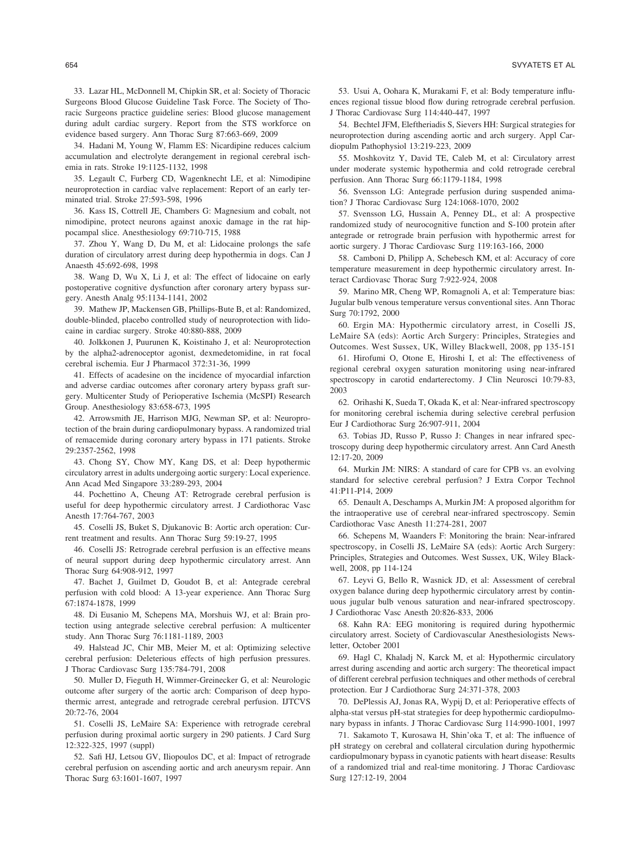33. Lazar HL, McDonnell M, Chipkin SR, et al: Society of Thoracic Surgeons Blood Glucose Guideline Task Force. The Society of Thoracic Surgeons practice guideline series: Blood glucose management during adult cardiac surgery. Report from the STS workforce on evidence based surgery. Ann Thorac Surg 87:663-669, 2009

34. Hadani M, Young W, Flamm ES: Nicardipine reduces calcium accumulation and electrolyte derangement in regional cerebral ischemia in rats. Stroke 19:1125-1132, 1998

35. Legault C, Furberg CD, Wagenknecht LE, et al: Nimodipine neuroprotection in cardiac valve replacement: Report of an early terminated trial. Stroke 27:593-598, 1996

36. Kass IS, Cottrell JE, Chambers G: Magnesium and cobalt, not nimodipine, protect neurons against anoxic damage in the rat hippocampal slice. Anesthesiology 69:710-715, 1988

37. Zhou Y, Wang D, Du M, et al: Lidocaine prolongs the safe duration of circulatory arrest during deep hypothermia in dogs. Can J Anaesth 45:692-698, 1998

38. Wang D, Wu X, Li J, et al: The effect of lidocaine on early postoperative cognitive dysfunction after coronary artery bypass surgery. Anesth Analg 95:1134-1141, 2002

39. Mathew JP, Mackensen GB, Phillips-Bute B, et al: Randomized, double-blinded, placebo controlled study of neuroprotection with lidocaine in cardiac surgery. Stroke 40:880-888, 2009

40. Jolkkonen J, Puurunen K, Koistinaho J, et al: Neuroprotection by the alpha2-adrenoceptor agonist, dexmedetomidine, in rat focal cerebral ischemia. Eur J Pharmacol 372:31-36, 1999

41. Effects of acadesine on the incidence of myocardial infarction and adverse cardiac outcomes after coronary artery bypass graft surgery. Multicenter Study of Perioperative Ischemia (McSPI) Research Group. Anesthesiology 83:658-673, 1995

42. Arrowsmith JE, Harrison MJG, Newman SP, et al: Neuroprotection of the brain during cardiopulmonary bypass. A randomized trial of remacemide during coronary artery bypass in 171 patients. Stroke 29:2357-2562, 1998

43. Chong SY, Chow MY, Kang DS, et al: Deep hypothermic circulatory arrest in adults undergoing aortic surgery: Local experience. Ann Acad Med Singapore 33:289-293, 2004

44. Pochettino A, Cheung AT: Retrograde cerebral perfusion is useful for deep hypothermic circulatory arrest. J Cardiothorac Vasc Anesth 17:764-767, 2003

45. Coselli JS, Buket S, Djukanovic B: Aortic arch operation: Current treatment and results. Ann Thorac Surg 59:19-27, 1995

46. Coselli JS: Retrograde cerebral perfusion is an effective means of neural support during deep hypothermic circulatory arrest. Ann Thorac Surg 64:908-912, 1997

47. Bachet J, Guilmet D, Goudot B, et al: Antegrade cerebral perfusion with cold blood: A 13-year experience. Ann Thorac Surg 67:1874-1878, 1999

48. Di Eusanio M, Schepens MA, Morshuis WJ, et al: Brain protection using antegrade selective cerebral perfusion: A multicenter study. Ann Thorac Surg 76:1181-1189, 2003

49. Halstead JC, Chir MB, Meier M, et al: Optimizing selective cerebral perfusion: Deleterious effects of high perfusion pressures. J Thorac Cardiovasc Surg 135:784-791, 2008

50. Muller D, Fieguth H, Wimmer-Greinecker G, et al: Neurologic outcome after surgery of the aortic arch: Comparison of deep hypothermic arrest, antegrade and retrograde cerebral perfusion. IJTCVS 20:72-76, 2004

51. Coselli JS, LeMaire SA: Experience with retrograde cerebral perfusion during proximal aortic surgery in 290 patients. J Card Surg 12:322-325, 1997 (suppl)

52. Safi HJ, Letsou GV, Iliopoulos DC, et al: Impact of retrograde cerebral perfusion on ascending aortic and arch aneurysm repair. Ann Thorac Surg 63:1601-1607, 1997

53. Usui A, Oohara K, Murakami F, et al: Body temperature influences regional tissue blood flow during retrograde cerebral perfusion. J Thorac Cardiovasc Surg 114:440-447, 1997

54. Bechtel JFM, Eleftheriadis S, Sievers HH: Surgical strategies for neuroprotection during ascending aortic and arch surgery. Appl Cardiopulm Pathophysiol 13:219-223, 2009

55. Moshkovitz Y, David TE, Caleb M, et al: Circulatory arrest under moderate systemic hypothermia and cold retrograde cerebral perfusion. Ann Thorac Surg 66:1179-1184, 1998

56. Svensson LG: Antegrade perfusion during suspended animation? J Thorac Cardiovasc Surg 124:1068-1070, 2002

57. Svensson LG, Hussain A, Penney DL, et al: A prospective randomized study of neurocognitive function and S-100 protein after antegrade or retrograde brain perfusion with hypothermic arrest for aortic surgery. J Thorac Cardiovasc Surg 119:163-166, 2000

58. Camboni D, Philipp A, Schebesch KM, et al: Accuracy of core temperature measurement in deep hypothermic circulatory arrest. Interact Cardiovasc Thorac Surg 7:922-924, 2008

59. Marino MR, Cheng WP, Romagnoli A, et al: Temperature bias: Jugular bulb venous temperature versus conventional sites. Ann Thorac Surg 70:1792, 2000

60. Ergin MA: Hypothermic circulatory arrest, in Coselli JS, LeMaire SA (eds): Aortic Arch Surgery: Principles, Strategies and Outcomes. West Sussex, UK, Willey Blackwell, 2008, pp 135-151

61. Hirofumi O, Otone E, Hiroshi I, et al: The effectiveness of regional cerebral oxygen saturation monitoring using near-infrared spectroscopy in carotid endarterectomy. J Clin Neurosci 10:79-83, 2003

62. Orihashi K, Sueda T, Okada K, et al: Near-infrared spectroscopy for monitoring cerebral ischemia during selective cerebral perfusion Eur J Cardiothorac Surg 26:907-911, 2004

63. Tobias JD, Russo P, Russo J: Changes in near infrared spectroscopy during deep hypothermic circulatory arrest. Ann Card Anesth 12:17-20, 2009

64. Murkin JM: NIRS: A standard of care for CPB vs. an evolving standard for selective cerebral perfusion? J Extra Corpor Technol 41:P11-P14, 2009

65. Denault A, Deschamps A, Murkin JM: A proposed algorithm for the intraoperative use of cerebral near-infrared spectroscopy. Semin Cardiothorac Vasc Anesth 11:274-281, 2007

66. Schepens M, Waanders F: Monitoring the brain: Near-infrared spectroscopy, in Coselli JS, LeMaire SA (eds): Aortic Arch Surgery: Principles, Strategies and Outcomes. West Sussex, UK, Wiley Blackwell, 2008, pp 114-124

67. Leyvi G, Bello R, Wasnick JD, et al: Assessment of cerebral oxygen balance during deep hypothermic circulatory arrest by continuous jugular bulb venous saturation and near-infrared spectroscopy. J Cardiothorac Vasc Anesth 20:826-833, 2006

68. Kahn RA: EEG monitoring is required during hypothermic circulatory arrest. Society of Cardiovascular Anesthesiologists Newsletter, October 2001

69. Hagl C, Khaladj N, Karck M, et al: Hypothermic circulatory arrest during ascending and aortic arch surgery: The theoretical impact of different cerebral perfusion techniques and other methods of cerebral protection. Eur J Cardiothorac Surg 24:371-378, 2003

70. DePlessis AJ, Jonas RA, Wypij D, et al: Perioperative effects of alpha-stat versus pH-stat strategies for deep hypothermic cardiopulmonary bypass in infants. J Thorac Cardiovasc Surg 114:990-1001, 1997

71. Sakamoto T, Kurosawa H, Shin'oka T, et al: The influence of pH strategy on cerebral and collateral circulation during hypothermic cardiopulmonary bypass in cyanotic patients with heart disease: Results of a randomized trial and real-time monitoring. J Thorac Cardiovasc Surg 127:12-19, 2004